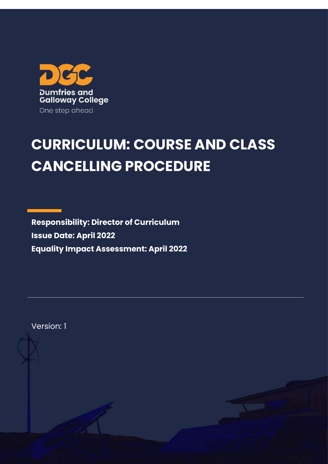

# **CURRICULUM: COURSE AND CLASS CANCELLING PROCEDURE**

**Responsibility: Director of Curriculum Issue Date: April 2022 Equality Impact Assessment: April 2022**

Version: 1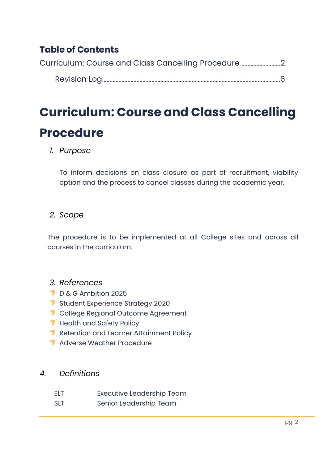## **Table of Contents**

[Curriculum: Course and Class Cancelling Procedure](#page-1-0) ……………………..2

Revision Log…………………………………………………………………………………………..……………6

## <span id="page-1-0"></span>**Curriculum: Course and Class Cancelling Procedure**

## *1. Purpose*

To inform decisions on class closure as part of recruitment, viability option and the process to cancel classes during the academic year.

## *2. Scope*

The procedure is to be implemented at all College sites and across all courses in the curriculum.

## *3. References*

- D & G Ambition 2025
- **Student Experience Strategy 2020**
- **1** College Regional Outcome Agreement
- Health and Safety Policy
- Retention and Learner Attainment Policy
- **Adverse Weather Procedure**

### *4. Definitions*

- ELT Executive Leadership Team
- SLT Senior Leadership Team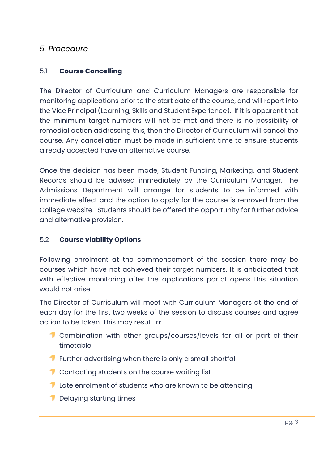### *5. Procedure*

#### 5.1 **Course Cancelling**

The Director of Curriculum and Curriculum Managers are responsible for monitoring applications prior to the start date of the course, and will report into the Vice Principal (Learning, Skills and Student Experience). If it is apparent that the minimum target numbers will not be met and there is no possibility of remedial action addressing this, then the Director of Curriculum will cancel the course. Any cancellation must be made in sufficient time to ensure students already accepted have an alternative course.

Once the decision has been made, Student Funding, Marketing, and Student Records should be advised immediately by the Curriculum Manager. The Admissions Department will arrange for students to be informed with immediate effect and the option to apply for the course is removed from the College website. Students should be offered the opportunity for further advice and alternative provision.

#### 5.2 **Course viability Options**

Following enrolment at the commencement of the session there may be courses which have not achieved their target numbers. It is anticipated that with effective monitoring after the applications portal opens this situation would not arise.

The Director of Curriculum will meet with Curriculum Managers at the end of each day for the first two weeks of the session to discuss courses and agree action to be taken. This may result in:

- **T** Combination with other groups/courses/levels for all or part of their timetable
- **T** Further advertising when there is only a small shortfall
- **T** Contacting students on the course waiting list
- **T** Late enrolment of students who are known to be attending
- Delaying starting times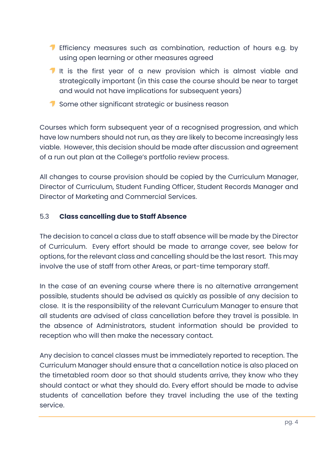- **T** Efficiency measures such as combination, reduction of hours e.g. by using open learning or other measures agreed
- It is the first year of a new provision which is almost viable and strategically important (in this case the course should be near to target and would not have implications for subsequent years)
- Some other significant strategic or business reason

Courses which form subsequent year of a recognised progression, and which have low numbers should not run, as they are likely to become increasingly less viable. However, this decision should be made after discussion and agreement of a run out plan at the College's portfolio review process.

All changes to course provision should be copied by the Curriculum Manager, Director of Curriculum, Student Funding Officer, Student Records Manager and Director of Marketing and Commercial Services.

#### 5.3 **Class cancelling due to Staff Absence**

The decision to cancel a class due to staff absence will be made by the Director of Curriculum. Every effort should be made to arrange cover, see below for options, for the relevant class and cancelling should be the last resort. This may involve the use of staff from other Areas, or part-time temporary staff.

In the case of an evening course where there is no alternative arrangement possible, students should be advised as quickly as possible of any decision to close. It is the responsibility of the relevant Curriculum Manager to ensure that all students are advised of class cancellation before they travel is possible. In the absence of Administrators, student information should be provided to reception who will then make the necessary contact.

Any decision to cancel classes must be immediately reported to reception. The Curriculum Manager should ensure that a cancellation notice is also placed on the timetabled room door so that should students arrive, they know who they should contact or what they should do. Every effort should be made to advise students of cancellation before they travel including the use of the texting service.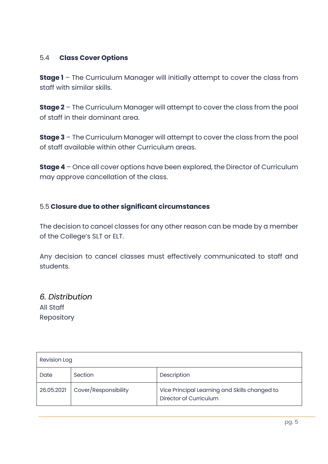#### 5.4 **Class Cover Options**

**Stage 1** – The Curriculum Manager will initially attempt to cover the class from staff with similar skills.

**Stage 2** – The Curriculum Manager will attempt to cover the class from the pool of staff in their dominant area.

**Stage 3** – The Curriculum Manager will attempt to cover the class from the pool of staff available within other Curriculum areas.

**Stage 4** – Once all cover options have been explored, the Director of Curriculum may approve cancellation of the class.

#### 5.5 **Closure due to other significant circumstances**

The decision to cancel classes for any other reason can be made by a member of the College's SLT or ELT.

Any decision to cancel classes must effectively communicated to staff and students.

*6. Distribution* All Staff Repository

| <b>Revision Log</b> |                      |                                                                         |  |  |  |  |
|---------------------|----------------------|-------------------------------------------------------------------------|--|--|--|--|
| Date                | Section              | Description                                                             |  |  |  |  |
| 26.05.2021          | Cover/Responsibility | Vice Principal Learning and Skills changed to<br>Director of Curriculum |  |  |  |  |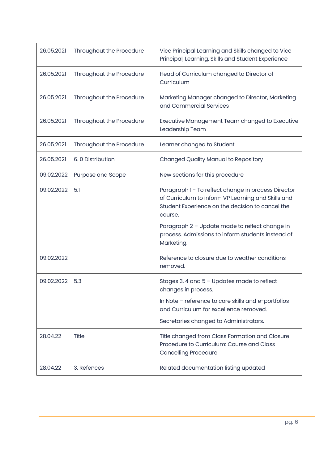| 26.05.2021 | Throughout the Procedure | Vice Principal Learning and Skills changed to Vice<br>Principal, Learning, Skills and Student Experience                                                                                                                                                                                      |  |  |
|------------|--------------------------|-----------------------------------------------------------------------------------------------------------------------------------------------------------------------------------------------------------------------------------------------------------------------------------------------|--|--|
| 26.05.2021 | Throughout the Procedure | Head of Curriculum changed to Director of<br>Curriculum                                                                                                                                                                                                                                       |  |  |
| 26.05.2021 | Throughout the Procedure | Marketing Manager changed to Director, Marketing<br>and Commercial Services                                                                                                                                                                                                                   |  |  |
| 26.05.2021 | Throughout the Procedure | Executive Management Team changed to Executive<br>Leadership Team                                                                                                                                                                                                                             |  |  |
| 26.05.2021 | Throughout the Procedure | Learner changed to Student                                                                                                                                                                                                                                                                    |  |  |
| 26.05.2021 | 6.0 Distribution         | <b>Changed Quality Manual to Repository</b>                                                                                                                                                                                                                                                   |  |  |
| 09.02.2022 | Purpose and Scope        | New sections for this procedure                                                                                                                                                                                                                                                               |  |  |
| 09.02.2022 | 5.1                      | Paragraph 1 - To reflect change in process Director<br>of Curriculum to inform VP Learning and Skills and<br>Student Experience on the decision to cancel the<br>course.<br>Paragraph 2 - Update made to reflect change in<br>process. Admissions to inform students instead of<br>Marketing. |  |  |
| 09.02.2022 |                          | Reference to closure due to weather conditions<br>removed.                                                                                                                                                                                                                                    |  |  |
| 09.02.2022 | 5.3                      | Stages 3, 4 and $5 -$ Updates made to reflect<br>changes in process.<br>In Note - reference to core skills and e-portfolios<br>and Curriculum for excellence removed.<br>Secretaries changed to Administrators.                                                                               |  |  |
| 28.04.22   | <b>Title</b>             | Title changed from Class Formation and Closure<br>Procedure to Curriculum: Course and Class<br><b>Cancelling Procedure</b>                                                                                                                                                                    |  |  |
| 28.04.22   | 3. Refences              | Related documentation listing updated                                                                                                                                                                                                                                                         |  |  |